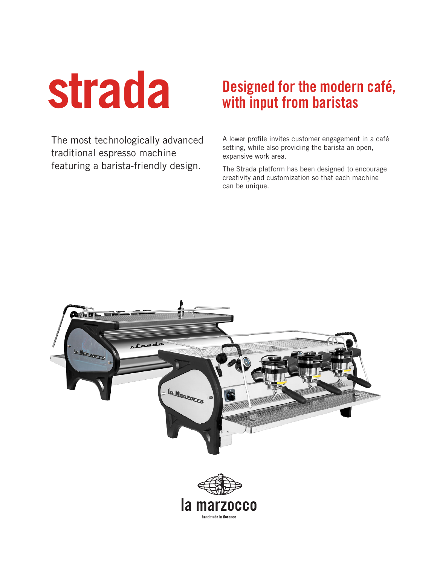**strada**

# **Designed for the modern café, with input from baristas**

The most technologically advanced traditional espresso machine featuring a barista-friendly design.

A lower profile invites customer engagement in a café setting, while also providing the barista an open, expansive work area.

The Strada platform has been designed to encourage creativity and customization so that each machine can be unique.